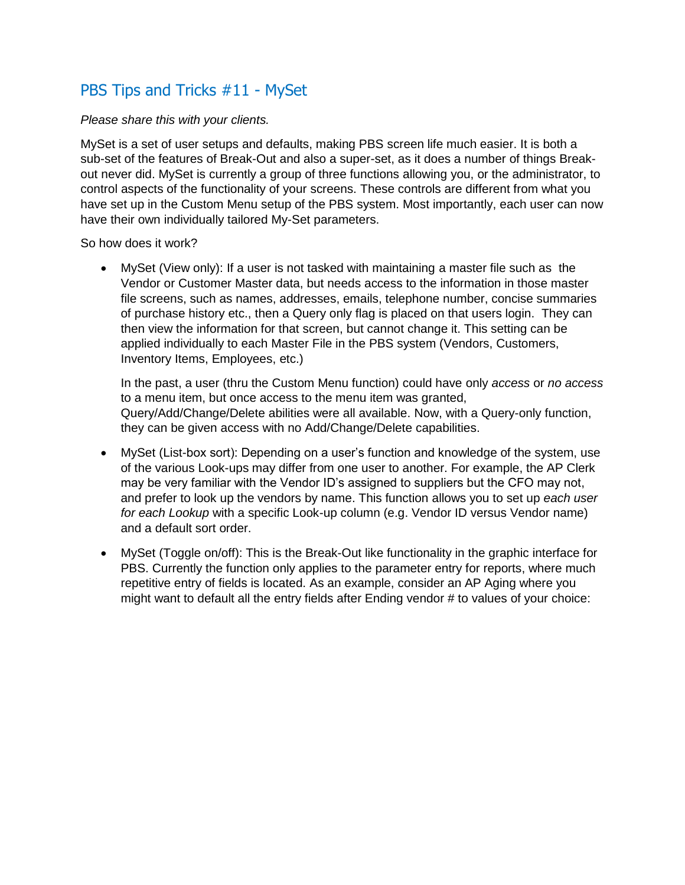## PBS Tips and Tricks #11 - MySet

## *Please share this with your clients.*

MySet is a set of user setups and defaults, making PBS screen life much easier. It is both a sub-set of the features of Break-Out and also a super-set, as it does a number of things Breakout never did. MySet is currently a group of three functions allowing you, or the administrator, to control aspects of the functionality of your screens. These controls are different from what you have set up in the Custom Menu setup of the PBS system. Most importantly, each user can now have their own individually tailored My-Set parameters.

So how does it work?

 MySet (View only): If a user is not tasked with maintaining a master file such as the Vendor or Customer Master data, but needs access to the information in those master file screens, such as names, addresses, emails, telephone number, concise summaries of purchase history etc., then a Query only flag is placed on that users login. They can then view the information for that screen, but cannot change it. This setting can be applied individually to each Master File in the PBS system (Vendors, Customers, Inventory Items, Employees, etc.)

In the past, a user (thru the Custom Menu function) could have only *access* or *no access* to a menu item, but once access to the menu item was granted, Query/Add/Change/Delete abilities were all available. Now, with a Query-only function, they can be given access with no Add/Change/Delete capabilities.

- MySet (List-box sort): Depending on a user's function and knowledge of the system, use of the various Look-ups may differ from one user to another. For example, the AP Clerk may be very familiar with the Vendor ID's assigned to suppliers but the CFO may not, and prefer to look up the vendors by name. This function allows you to set up *each user for each Lookup* with a specific Look-up column (e.g. Vendor ID versus Vendor name) and a default sort order.
- MySet (Toggle on/off): This is the Break-Out like functionality in the graphic interface for PBS. Currently the function only applies to the parameter entry for reports, where much repetitive entry of fields is located. As an example, consider an AP Aging where you might want to default all the entry fields after Ending vendor # to values of your choice: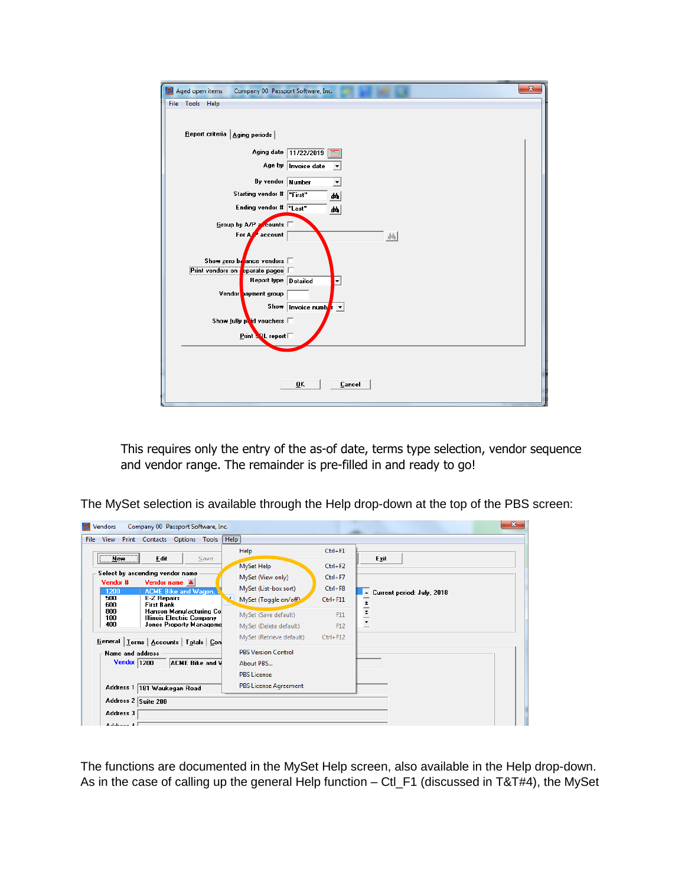| Aged open items<br>Company 00 Passport Software, Inc.                                                                                                                                                                                                                                                                                                                                                                                                   | $\mathbf{x}$ |
|---------------------------------------------------------------------------------------------------------------------------------------------------------------------------------------------------------------------------------------------------------------------------------------------------------------------------------------------------------------------------------------------------------------------------------------------------------|--------------|
| File Tools Help                                                                                                                                                                                                                                                                                                                                                                                                                                         |              |
| Report criteria   Aging periods  <br>Aging date 11/22/2019<br>Age by  Invoice date<br>By vendor Number<br>$\blacktriangledown$<br>Starting vendor # First"<br>đó.<br>Ending vendor # Tast"<br>44<br>Group by A/P a counts<br>For A<br>account<br>画<br>Show zero be ance vendors $\square$<br>Print vendors on <b>p</b> eparate pages  <br>Report type Detailed<br>$\overline{\phantom{a}}$<br>Vendor payment group<br>Show   Invoice numb $\  \cdot \ $ |              |
| Show fully $p$ id vouchers $\Box$                                                                                                                                                                                                                                                                                                                                                                                                                       |              |
|                                                                                                                                                                                                                                                                                                                                                                                                                                                         |              |
| $Print$ SQL report                                                                                                                                                                                                                                                                                                                                                                                                                                      |              |
|                                                                                                                                                                                                                                                                                                                                                                                                                                                         |              |
| Cancel<br>ŪK                                                                                                                                                                                                                                                                                                                                                                                                                                            |              |

This requires only the entry of the as-of date, terms type selection, vendor sequence and vendor range. The remainder is pre-filled in and ready to go!

The MySet selection is available through the Help drop-down at the top of the PBS screen:

| <b>File</b>         | View Print Contacts Options Tools Help                      |                              |              |                                                |
|---------------------|-------------------------------------------------------------|------------------------------|--------------|------------------------------------------------|
| New York            | Edit<br>Save                                                | Help                         | $Ctrl + F1$  | Exit                                           |
|                     |                                                             | MySet Help                   | $Ctrl + F2$  |                                                |
| Vendor #            | Select by ascending vendor name                             | MySet (View only)            | $Ctrl + F7$  |                                                |
| 1200                | Vendor name A<br><b>ACME Bike and Wagon,</b>                | MySet (List-box sort)        | $Ctrl + F8$  | Current period: July, 2018<br>$\blacktriangle$ |
| 500<br>600          | <b>E-Z Repairs</b><br><b>First Bank</b>                     | MySet (Toggle on/off)        | $Ctrl + F11$ |                                                |
| 800<br>100          | Hanson Manufacturing Co<br><b>Illinois Electric Company</b> | MySet (Save default)         | F11          | $\frac{1}{1}$                                  |
| 400                 | Jones Property Manageme                                     | MySet (Delete default)       | F12          | $\overline{\phantom{0}}$                       |
|                     | General   Lerms   Accounts   Totals   Con                   | MySet (Retrieve default)     | $Ctrl + F12$ |                                                |
| Name and address    |                                                             | <b>PBS Version Control</b>   |              |                                                |
| Vendor 1200         | ACME Bike and V                                             | About PBS                    |              |                                                |
|                     |                                                             | <b>PBS License</b>           |              |                                                |
|                     | Address 1 181 Waukegan Road                                 | <b>PBS License Agreement</b> |              |                                                |
| Address 2 Suite 200 |                                                             |                              |              |                                                |
| Address 3           |                                                             |                              |              |                                                |

The functions are documented in the MySet Help screen, also available in the Help drop-down. As in the case of calling up the general Help function – Ctl\_F1 (discussed in T&T#4), the MySet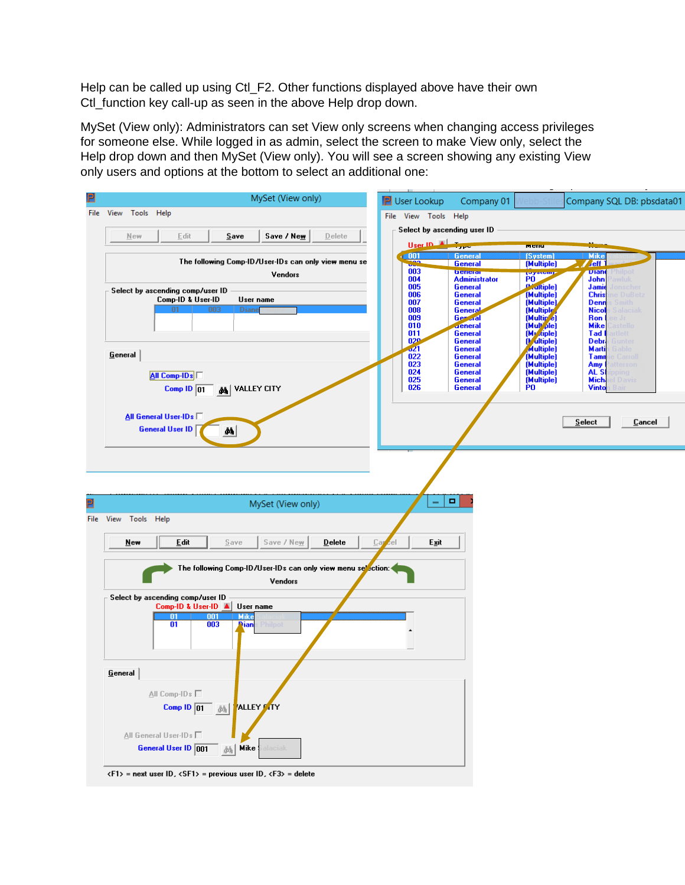Help can be called up using Ctl\_F2. Other functions displayed above have their own Ctl\_function key call-up as seen in the above Help drop down.

MySet (View only): Administrators can set View only screens when changing access privileges for someone else. While logged in as admin, select the screen to make View only, select the Help drop down and then MySet (View only). You will see a screen showing any existing View only users and options at the bottom to select an additional one:

| Р    | MySet (View only)                                                                                            | <b>P</b> User Lookup               | Company 01                                        |                                          | Company SQL DB: pbsdata01                                         |  |  |
|------|--------------------------------------------------------------------------------------------------------------|------------------------------------|---------------------------------------------------|------------------------------------------|-------------------------------------------------------------------|--|--|
| File | View Tools Help                                                                                              | File View Tools Help               |                                                   |                                          |                                                                   |  |  |
|      | Edit<br>Save / New<br>New<br>Save<br>Delete                                                                  | Select by ascending user ID        |                                                   |                                          |                                                                   |  |  |
|      |                                                                                                              | User ID A                          |                                                   | menu                                     |                                                                   |  |  |
|      | The following Comp-ID/User-IDs can only view menu se                                                         | $\sqrt{1001}$<br>003               | General<br><u>General</u>                         | [System]<br>(Multiple)                   | <b>Mike</b><br>$J$ eff                                            |  |  |
|      | Vendors                                                                                                      | 004<br>005                         | <b>beneral</b><br><b>Administrator</b><br>General | PO <sup>24610</sup><br><b>Maltiple</b> ) | <b>Dian</b><br>'hilpot<br>John<br>awlul<br>Jamie<br>lonschei      |  |  |
|      | Select by ascending comp/user ID<br>Comp-ID & User-ID<br>User name                                           | 006<br>007                         | General<br>General                                | (Multiple)<br>(Multiple)                 | <b>Chris</b><br>ne DuBetz<br>Denn<br>Smith                        |  |  |
|      | 01<br>003<br>Diano                                                                                           | 008<br>009                         | General<br>Geraral                                | (Multiple<br>(Multip <sup>e</sup> )      | <b>Nicol</b><br><b>Salaciak</b><br>Ron<br>ie Jr                   |  |  |
|      |                                                                                                              | 010<br>011                         | deneral<br>General                                | (Mult ple)<br>(My riple)                 | <b>Mike</b><br>astello<br>Tad I<br>irtlett                        |  |  |
|      |                                                                                                              | 02 <sup>o</sup><br>J <sub>21</sub> | General<br>General                                | (Multiple)<br><b>Multiple</b>            | Debr-<br><b>Gunter</b><br>Marti<br>Gable                          |  |  |
|      | <u>G</u> eneral                                                                                              | 022<br>023                         | General<br>General                                | (Multiple)<br>(Multiple)                 | <b>Tamn</b><br>e Carroll<br>Amy<br>atterson                       |  |  |
|      | All Comp-IDs                                                                                                 | 024<br>025<br>026                  | General<br>General                                | (Multiple)<br>(Multiple)<br>P0           | AL SI<br>pping<br><b>Mich</b><br>el Davis<br><b>Vinto</b><br>Bair |  |  |
|      | <b>M</b> VALLEY CITY<br>Comp $ D $ 01                                                                        |                                    | General                                           |                                          |                                                                   |  |  |
|      | All General User-IDs                                                                                         |                                    |                                                   |                                          |                                                                   |  |  |
|      | <b>General User ID</b><br>$\mathbf{a}$                                                                       |                                    |                                                   |                                          | Select<br>Cancel                                                  |  |  |
|      |                                                                                                              |                                    |                                                   |                                          |                                                                   |  |  |
|      |                                                                                                              |                                    |                                                   |                                          |                                                                   |  |  |
|      |                                                                                                              |                                    |                                                   |                                          |                                                                   |  |  |
| P    | MySet (View only)                                                                                            | -                                  | ۰                                                 |                                          |                                                                   |  |  |
|      | File View Tools Help                                                                                         |                                    |                                                   |                                          |                                                                   |  |  |
|      | Edit<br>New<br>Save<br>Save / New<br>$D$ elete                                                               | Exit<br>Cay<br>sel.                |                                                   |                                          |                                                                   |  |  |
|      |                                                                                                              |                                    |                                                   |                                          |                                                                   |  |  |
|      | The following Comp-ID/User-IDs can only view menu selection: <                                               |                                    |                                                   |                                          |                                                                   |  |  |
|      | Vendors                                                                                                      |                                    |                                                   |                                          |                                                                   |  |  |
|      | Select by ascending comp/user ID<br>Comp-ID & User-ID ▲<br>User name                                         |                                    |                                                   |                                          |                                                                   |  |  |
|      | 01<br>001<br><b>Mike</b><br>01<br>003<br><u>Nian</u><br>Philpot                                              |                                    |                                                   |                                          |                                                                   |  |  |
|      |                                                                                                              |                                    |                                                   |                                          |                                                                   |  |  |
|      |                                                                                                              |                                    |                                                   |                                          |                                                                   |  |  |
|      | General                                                                                                      |                                    |                                                   |                                          |                                                                   |  |  |
|      | All Comp-IDs                                                                                                 |                                    |                                                   |                                          |                                                                   |  |  |
|      | <mark>'</mark> 'ALLEY FITY<br>Comp ID $\boxed{01}$<br>一颜                                                     |                                    |                                                   |                                          |                                                                   |  |  |
|      |                                                                                                              |                                    |                                                   |                                          |                                                                   |  |  |
|      | All General User-IDs<br>General User ID 001<br>Mike<br>alaciak                                               |                                    |                                                   |                                          |                                                                   |  |  |
|      | 顔                                                                                                            |                                    |                                                   |                                          |                                                                   |  |  |
|      | $\langle F1 \rangle$ = next user ID, $\langle SF1 \rangle$ = previous user ID, $\langle F3 \rangle$ = delete |                                    |                                                   |                                          |                                                                   |  |  |